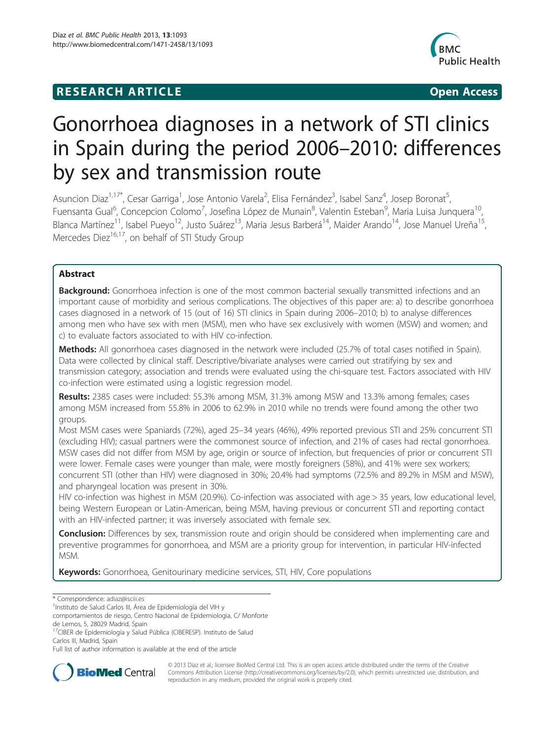# **RESEARCH ARTICLE Example 2018 12:00 Department of the Contract Open Access**



# Gonorrhoea diagnoses in a network of STI clinics in Spain during the period 2006–2010: differences by sex and transmission route

Asuncion Diaz<sup>1,17\*</sup>, Cesar Garriga<sup>1</sup>, Jose Antonio Varela<sup>2</sup>, Elisa Fernández<sup>3</sup>, Isabel Sanz<sup>4</sup>, Josep Boronat<sup>5</sup> , Fuensanta Gual<sup>6</sup>, Concepcion Colomo<sup>7</sup>, Josefina López de Munain<sup>8</sup>, Valentin Esteban<sup>9</sup>, Maria Luisa Junquera<sup>10</sup>, Blanca Martínez<sup>11</sup>, Isabel Pueyo<sup>12</sup>, Justo Suárez<sup>13</sup>, Maria Jesus Barberá<sup>14</sup>, Maider Arando<sup>14</sup>, Jose Manuel Ureña<sup>15</sup>, Mercedes Diez<sup>16,17</sup>, on behalf of STI Study Group

# Abstract

**Background:** Gonorrhoea infection is one of the most common bacterial sexually transmitted infections and an important cause of morbidity and serious complications. The objectives of this paper are: a) to describe gonorrhoea cases diagnosed in a network of 15 (out of 16) STI clinics in Spain during 2006–2010; b) to analyse differences among men who have sex with men (MSM), men who have sex exclusively with women (MSW) and women; and c) to evaluate factors associated to with HIV co-infection.

Methods: All gonorrhoea cases diagnosed in the network were included (25.7% of total cases notified in Spain). Data were collected by clinical staff. Descriptive/bivariate analyses were carried out stratifying by sex and transmission category; association and trends were evaluated using the chi-square test. Factors associated with HIV co-infection were estimated using a logistic regression model.

Results: 2385 cases were included: 55.3% among MSM, 31.3% among MSW and 13.3% among females; cases among MSM increased from 55.8% in 2006 to 62.9% in 2010 while no trends were found among the other two groups.

Most MSM cases were Spaniards (72%), aged 25–34 years (46%), 49% reported previous STI and 25% concurrent STI (excluding HIV); casual partners were the commonest source of infection, and 21% of cases had rectal gonorrhoea. MSW cases did not differ from MSM by age, origin or source of infection, but frequencies of prior or concurrent STI were lower. Female cases were younger than male, were mostly foreigners (58%), and 41% were sex workers; concurrent STI (other than HIV) were diagnosed in 30%; 20.4% had symptoms (72.5% and 89.2% in MSM and MSW), and pharyngeal location was present in 30%.

HIV co-infection was highest in MSM (20.9%). Co-infection was associated with age > 35 years, low educational level, being Western European or Latin-American, being MSM, having previous or concurrent STI and reporting contact with an HIV-infected partner; it was inversely associated with female sex.

**Conclusion:** Differences by sex, transmission route and origin should be considered when implementing care and preventive programmes for gonorrhoea, and MSM are a priority group for intervention, in particular HIV-infected MSM.

Keywords: Gonorrhoea, Genitourinary medicine services, STI, HIV, Core populations

\* Correspondence: [adiaz@isciii.es](mailto:adiaz@isciii.es) <sup>1</sup>

comportamientos de riesgo, Centro Nacional de Epidemiologia, C/ Monforte de Lemos, 5, 28029 Madrid, Spain

<sup>17</sup>CIBER de Epidemiología y Salud Pública (CIBERESP). Instituto de Salud Carlos III, Madrid, Spain

Full list of author information is available at the end of the article



© 2013 Diaz et al.; licensee BioMed Central Ltd. This is an open access article distributed under the terms of the Creative Commons Attribution License [\(http://creativecommons.org/licenses/by/2.0\)](http://creativecommons.org/licenses/by/2.0), which permits unrestricted use, distribution, and reproduction in any medium, provided the original work is properly cited.

<sup>&</sup>lt;sup>1</sup>Instituto de Salud Carlos III, Área de Epidemiología del VIH y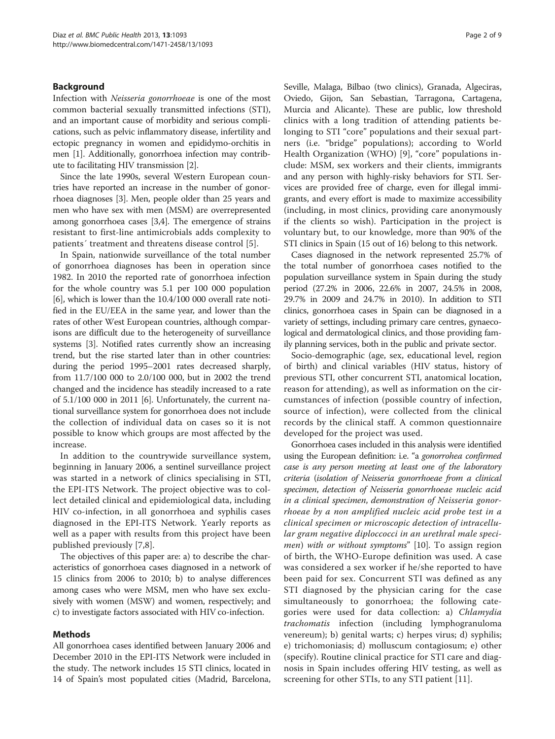# Background

Infection with Neisseria gonorrhoeae is one of the most common bacterial sexually transmitted infections (STI), and an important cause of morbidity and serious complications, such as pelvic inflammatory disease, infertility and ectopic pregnancy in women and epididymo-orchitis in men [\[1\]](#page-7-0). Additionally, gonorrhoea infection may contribute to facilitating HIV transmission [\[2](#page-7-0)].

Since the late 1990s, several Western European countries have reported an increase in the number of gonorrhoea diagnoses [\[3](#page-7-0)]. Men, people older than 25 years and men who have sex with men (MSM) are overrepresented among gonorrhoea cases [\[3,4\]](#page-7-0). The emergence of strains resistant to first-line antimicrobials adds complexity to patients´ treatment and threatens disease control [\[5](#page-7-0)].

In Spain, nationwide surveillance of the total number of gonorrhoea diagnoses has been in operation since 1982. In 2010 the reported rate of gonorrhoea infection for the whole country was 5.1 per 100 000 population [[6\]](#page-7-0), which is lower than the 10.4/100 000 overall rate notified in the EU/EEA in the same year, and lower than the rates of other West European countries, although comparisons are difficult due to the heterogeneity of surveillance systems [\[3\]](#page-7-0). Notified rates currently show an increasing trend, but the rise started later than in other countries: during the period 1995–2001 rates decreased sharply, from 11.7/100 000 to 2.0/100 000, but in 2002 the trend changed and the incidence has steadily increased to a rate of 5.1/100 000 in 2011 [[6](#page-7-0)]. Unfortunately, the current national surveillance system for gonorrhoea does not include the collection of individual data on cases so it is not possible to know which groups are most affected by the increase.

In addition to the countrywide surveillance system, beginning in January 2006, a sentinel surveillance project was started in a network of clinics specialising in STI, the EPI-ITS Network. The project objective was to collect detailed clinical and epidemiological data, including HIV co-infection, in all gonorrhoea and syphilis cases diagnosed in the EPI-ITS Network. Yearly reports as well as a paper with results from this project have been published previously [\[7](#page-7-0),[8](#page-7-0)].

The objectives of this paper are: a) to describe the characteristics of gonorrhoea cases diagnosed in a network of 15 clinics from 2006 to 2010; b) to analyse differences among cases who were MSM, men who have sex exclusively with women (MSW) and women, respectively; and c) to investigate factors associated with HIV co-infection.

# Methods

All gonorrhoea cases identified between January 2006 and December 2010 in the EPI-ITS Network were included in the study. The network includes 15 STI clinics, located in 14 of Spain's most populated cities (Madrid, Barcelona, Seville, Malaga, Bilbao (two clinics), Granada, Algeciras, Oviedo, Gijon, San Sebastian, Tarragona, Cartagena, Murcia and Alicante). These are public, low threshold clinics with a long tradition of attending patients belonging to STI "core" populations and their sexual partners (i.e. "bridge" populations); according to World Health Organization (WHO) [\[9](#page-7-0)], "core" populations include: MSM, sex workers and their clients, immigrants and any person with highly-risky behaviors for STI. Services are provided free of charge, even for illegal immigrants, and every effort is made to maximize accessibility (including, in most clinics, providing care anonymously if the clients so wish). Participation in the project is voluntary but, to our knowledge, more than 90% of the STI clinics in Spain (15 out of 16) belong to this network.

Cases diagnosed in the network represented 25.7% of the total number of gonorrhoea cases notified to the population surveillance system in Spain during the study period (27.2% in 2006, 22.6% in 2007, 24.5% in 2008, 29.7% in 2009 and 24.7% in 2010). In addition to STI clinics, gonorrhoea cases in Spain can be diagnosed in a variety of settings, including primary care centres, gynaecological and dermatological clinics, and those providing family planning services, both in the public and private sector.

Socio-demographic (age, sex, educational level, region of birth) and clinical variables (HIV status, history of previous STI, other concurrent STI, anatomical location, reason for attending), as well as information on the circumstances of infection (possible country of infection, source of infection), were collected from the clinical records by the clinical staff. A common questionnaire developed for the project was used.

Gonorrhoea cases included in this analysis were identified using the European definition: i.e. "a gonorrohea confirmed case is any person meeting at least one of the laboratory criteria (isolation of Neisseria gonorrhoeae from a clinical specimen, detection of Neisseria gonorrhoeae nucleic acid in a clinical specimen, demonstration of Neisseria gonorrhoeae by a non amplified nucleic acid probe test in a clinical specimen or microscopic detection of intracellular gram negative diploccocci in an urethral male speci-men) with or without symptoms" [\[10\]](#page-7-0). To assign region of birth, the WHO-Europe definition was used. A case was considered a sex worker if he/she reported to have been paid for sex. Concurrent STI was defined as any STI diagnosed by the physician caring for the case simultaneously to gonorrhoea; the following categories were used for data collection: a) Chlamydia trachomatis infection (including lymphogranuloma venereum); b) genital warts; c) herpes virus; d) syphilis; e) trichomoniasis; d) molluscum contagiosum; e) other (specify). Routine clinical practice for STI care and diagnosis in Spain includes offering HIV testing, as well as screening for other STIs, to any STI patient [[11\]](#page-7-0).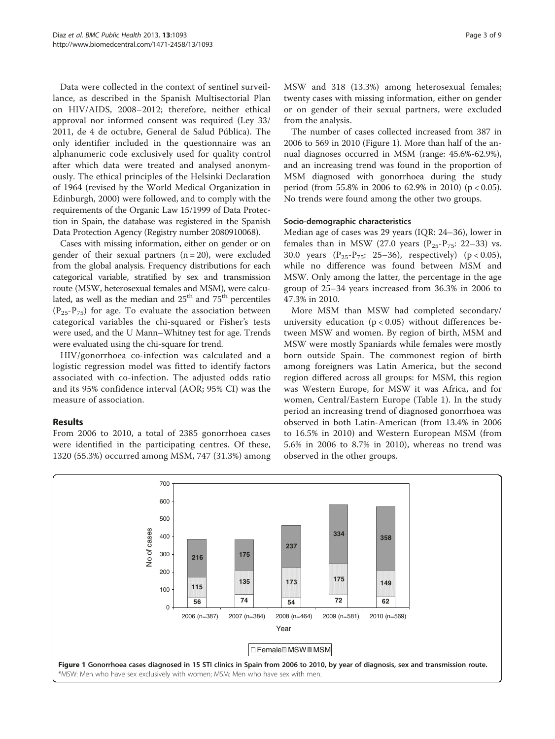Data were collected in the context of sentinel surveillance, as described in the Spanish Multisectorial Plan on HIV/AIDS, 2008–2012; therefore, neither ethical approval nor informed consent was required (Ley 33/ 2011, de 4 de octubre, General de Salud Pública). The only identifier included in the questionnaire was an alphanumeric code exclusively used for quality control after which data were treated and analysed anonymously. The ethical principles of the Helsinki Declaration of 1964 (revised by the World Medical Organization in Edinburgh, 2000) were followed, and to comply with the requirements of the Organic Law 15/1999 of Data Protection in Spain, the database was registered in the Spanish Data Protection Agency (Registry number 2080910068).

Cases with missing information, either on gender or on gender of their sexual partners  $(n = 20)$ , were excluded from the global analysis. Frequency distributions for each categorical variable, stratified by sex and transmission route (MSW, heterosexual females and MSM), were calculated, as well as the median and  $25<sup>th</sup>$  and  $75<sup>th</sup>$  percentiles  $(P_{25}-P_{75})$  for age. To evaluate the association between categorical variables the chi-squared or Fisher's tests were used, and the U Mann–Whitney test for age. Trends were evaluated using the chi-square for trend.

HIV/gonorrhoea co-infection was calculated and a logistic regression model was fitted to identify factors associated with co-infection. The adjusted odds ratio and its 95% confidence interval (AOR; 95% CI) was the measure of association.

# Results

From 2006 to 2010, a total of 2385 gonorrhoea cases were identified in the participating centres. Of these, 1320 (55.3%) occurred among MSM, 747 (31.3%) among MSW and 318 (13.3%) among heterosexual females; twenty cases with missing information, either on gender or on gender of their sexual partners, were excluded from the analysis.

The number of cases collected increased from 387 in 2006 to 569 in 2010 (Figure 1). More than half of the annual diagnoses occurred in MSM (range: 45.6%-62.9%), and an increasing trend was found in the proportion of MSM diagnosed with gonorrhoea during the study period (from 55.8% in 2006 to 62.9% in 2010) (p < 0.05). No trends were found among the other two groups.

# Socio-demographic characteristics

Median age of cases was 29 years (IQR: 24–36), lower in females than in MSW (27.0 years ( $P_{25}P_{75}$ : 22–33) vs. 30.0 years  $(P_{25}-P_{75}; 25-36)$ , respectively)  $(p < 0.05)$ , while no difference was found between MSM and MSW. Only among the latter, the percentage in the age group of 25–34 years increased from 36.3% in 2006 to 47.3% in 2010.

More MSM than MSW had completed secondary/ university education ( $p < 0.05$ ) without differences between MSW and women. By region of birth, MSM and MSW were mostly Spaniards while females were mostly born outside Spain. The commonest region of birth among foreigners was Latin America, but the second region differed across all groups: for MSM, this region was Western Europe, for MSW it was Africa, and for women, Central/Eastern Europe (Table [1](#page-3-0)). In the study period an increasing trend of diagnosed gonorrhoea was observed in both Latin-American (from 13.4% in 2006 to 16.5% in 2010) and Western European MSM (from 5.6% in 2006 to 8.7% in 2010), whereas no trend was observed in the other groups.

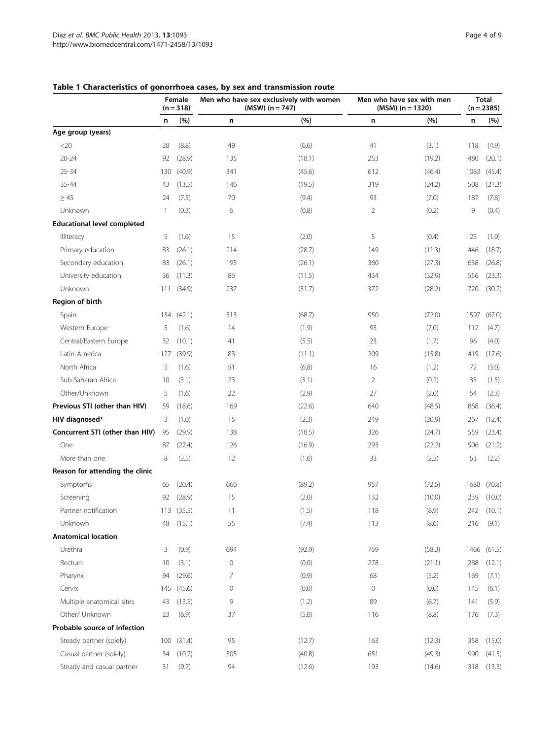|                                    | Female<br>$(n = 318)$ |            | Men who have sex exclusively with women<br>$(MSW) (n = 747)$ |        | Men who have sex with men<br>$(MSM)$ (n = 1320) |        | <b>Total</b><br>$(n = 2385)$ |            |
|------------------------------------|-----------------------|------------|--------------------------------------------------------------|--------|-------------------------------------------------|--------|------------------------------|------------|
|                                    | n                     | (%)        | n                                                            | (%)    | n                                               | (%)    | n                            | (%)        |
| Age group (years)                  |                       |            |                                                              |        |                                                 |        |                              |            |
| <20                                | 28                    | (8.8)      | 49                                                           | (6.6)  | 41                                              | (3.1)  | 118                          | (4.9)      |
| $20 - 24$                          | 92                    | (28.9)     | 135                                                          | (18.1) | 253                                             | (19.2) | 480                          | (20.1)     |
| 25-34                              | 130                   | (40.9)     | 341                                                          | (45.6) | 612                                             | (46.4) | 1083                         | (45.4)     |
| 35-44                              | 43                    | (13.5)     | 146                                                          | (19.5) | 319                                             | (24.2) | 508                          | (21.3)     |
| $\geq 45$                          | 24                    | (7.5)      | 70                                                           | (9.4)  | 93                                              | (7.0)  | 187                          | (7.8)      |
| Unknown                            | $\mathbf{1}$          | (0.3)      | 6                                                            | (0.8)  | 2                                               | (0.2)  | 9                            | (0.4)      |
| <b>Educational level completed</b> |                       |            |                                                              |        |                                                 |        |                              |            |
| <b>Illiteracy</b>                  | 5                     | (1.6)      | 15                                                           | (2.0)  | 5                                               | (0.4)  | 25                           | (1.0)      |
| Primary education                  | 83                    | (26.1)     | 214                                                          | (28.7) | 149                                             | (11.3) | 446                          | (18.7)     |
| Secondary education                | 83                    | (26.1)     | 195                                                          | (26.1) | 360                                             | (27.3) | 638                          | (26.8)     |
| University education               | 36                    | (11.3)     | 86                                                           | (11.5) | 434                                             | (32.9) | 556                          | (23.3)     |
| Unknown                            |                       | 111 (34.9) | 237                                                          | (31.7) | 372                                             | (28.2) | 720                          | (30.2)     |
| Region of birth                    |                       |            |                                                              |        |                                                 |        |                              |            |
| Spain                              | 134                   | (42.1)     | 513                                                          | (68.7) | 950                                             | (72.0) | 1597                         | (67.0)     |
| Western Europe                     | 5                     | (1.6)      | 14                                                           | (1.9)  | 93                                              | (7.0)  | 112                          | (4.7)      |
| Central/Eastern Europe             | 32                    | (10.1)     | 41                                                           | (5.5)  | 23                                              | (1.7)  | 96                           | (4.0)      |
| Latin America                      | 127                   | (39.9)     | 83                                                           | (11.1) | 209                                             | (15.8) | 419                          | (17.6)     |
| North Africa                       | 5                     | (1.6)      | 51                                                           | (6.8)  | 16                                              | (1.2)  | 72                           | (3.0)      |
| Sub-Saharan Africa                 | 10                    | (3.1)      | 23                                                           | (3.1)  | $\overline{2}$                                  | (0.2)  | 35                           | (1.5)      |
| Other/Unknown                      | 5                     | (1.6)      | 22                                                           | (2.9)  | 27                                              | (2.0)  | 54                           | (2.3)      |
| Previous STI (other than HIV)      | 59                    | (18.6)     | 169                                                          | (22.6) | 640                                             | (48.5) | 868                          | (36.4)     |
| HIV diagnosed*                     | 3                     | (1.0)      | 15                                                           | (2.3)  | 249                                             | (20.9) | 267                          | (12.4)     |
| Concurrent STI (other than HIV)    | 95                    | (29.9)     | 138                                                          | (18.5) | 326                                             | (24.7) | 559                          | (23.4)     |
| One                                | 87                    | (27.4)     | 126                                                          | (16.9) | 293                                             | (22.2) | 506                          | (21.2)     |
| More than one                      | 8                     | (2.5)      | 12                                                           | (1.6)  | 33                                              | (2.5)  | 53                           | (2.2)      |
| Reason for attending the clinic    |                       |            |                                                              |        |                                                 |        |                              |            |
| Symptoms                           | 65                    | (20.4)     | 666                                                          | (89.2) | 957                                             | (72.5) | 1688                         | (70.8)     |
| Screening                          | 92                    | (28.9)     | 15                                                           | (2.0)  | 132                                             | (10.0) | 239                          | (10.0)     |
| Partner notification               |                       | 113 (35.5) | 11                                                           | (1.5)  | 118                                             | (8.9)  |                              | 242 (10.1) |
| Unknown                            | 48                    | (15.1)     | 55                                                           | (7.4)  | 113                                             | (8.6)  | 216                          | (9.1)      |
| <b>Anatomical location</b>         |                       |            |                                                              |        |                                                 |        |                              |            |
| Urethra                            | 3                     | (0.9)      | 694                                                          | (92.9) | 769                                             | (58.3) | 1466                         | (61.5)     |
| Rectum                             | 10                    | (3.1)      | 0                                                            | (0.0)  | 278                                             | (21.1) | 288                          | (12.1)     |
| Pharynx                            | 94                    | (29.6)     | 7                                                            | (0.9)  | 68                                              | (5.2)  | 169                          | (7.1)      |
| Cervix                             | 145                   | (45.6)     | 0                                                            | (0.0)  | $\mathsf{O}\xspace$                             | (0.0)  | 145                          | (6.1)      |
| Multiple anatomical sites          | 43                    | (13.5)     | 9                                                            | (1.2)  | 89                                              | (6.7)  | 141                          | (5.9)      |
| Other/ Unknown                     | 23                    | (6.9)      | 37                                                           | (5.0)  | 116                                             | (8.8)  | 176                          | (7.3)      |
| Probable source of infection       |                       |            |                                                              |        |                                                 |        |                              |            |
| Steady partner (solely)            | 100                   | (31.4)     | 95                                                           | (12.7) | 163                                             | (12.3) | 358                          | (15.0)     |
| Casual partner (solely)            | 34                    | (10.7)     | 305                                                          | (40.8) | 651                                             | (49.3) | 990                          | (41.5)     |
| Steady and casual partner          | 31                    | (9.7)      | 94                                                           | (12.6) | 193                                             | (14.6) | 318                          | (13.3)     |

# <span id="page-3-0"></span>Table 1 Characteristics of gonorrhoea cases, by sex and transmission route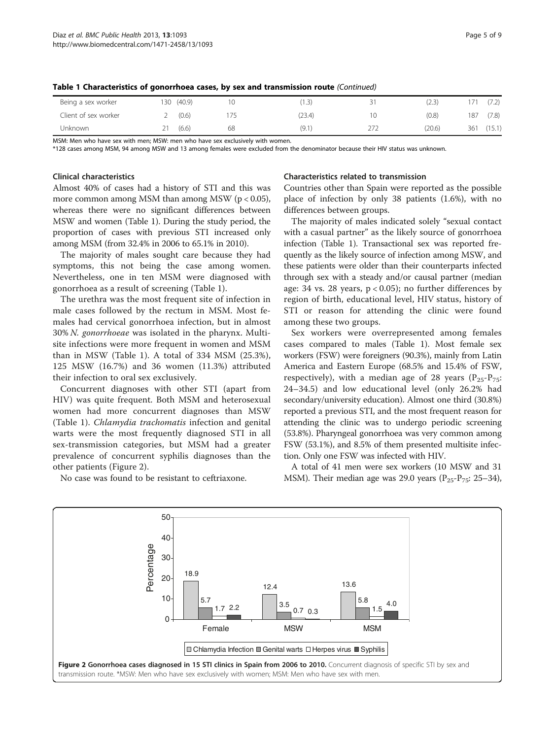| Being a sex worker   | (40.9)<br>130 |    | 1.3    | (2.3)  | (7.2)         |
|----------------------|---------------|----|--------|--------|---------------|
| Client of sex worker | (0.6)         |    | (23.4) | (0.8)  | (7.8)<br>187  |
| Unknown              | (6.6)<br>2    | 68 | (9.1   | (20.6) | (15.1)<br>361 |

Table 1 Characteristics of gonorrhoea cases, by sex and transmission route (Continued)

MSM: Men who have sex with men; MSW: men who have sex exclusively with women.

\*128 cases among MSM, 94 among MSW and 13 among females were excluded from the denominator because their HIV status was unknown.

#### Clinical characteristics

Almost 40% of cases had a history of STI and this was more common among MSM than among MSW ( $p < 0.05$ ), whereas there were no significant differences between MSW and women (Table [1](#page-3-0)). During the study period, the proportion of cases with previous STI increased only among MSM (from 32.4% in 2006 to 65.1% in 2010).

The majority of males sought care because they had symptoms, this not being the case among women. Nevertheless, one in ten MSM were diagnosed with gonorrhoea as a result of screening (Table [1](#page-3-0)).

The urethra was the most frequent site of infection in male cases followed by the rectum in MSM. Most females had cervical gonorrhoea infection, but in almost 30% N. gonorrhoeae was isolated in the pharynx. Multisite infections were more frequent in women and MSM than in MSW (Table [1](#page-3-0)). A total of 334 MSM (25.3%), 125 MSW (16.7%) and 36 women (11.3%) attributed their infection to oral sex exclusively.

Concurrent diagnoses with other STI (apart from HIV) was quite frequent. Both MSM and heterosexual women had more concurrent diagnoses than MSW (Table [1](#page-3-0)). Chlamydia trachomatis infection and genital warts were the most frequently diagnosed STI in all sex-transmission categories, but MSM had a greater prevalence of concurrent syphilis diagnoses than the other patients (Figure 2).

No case was found to be resistant to ceftriaxone.

# Characteristics related to transmission

Countries other than Spain were reported as the possible place of infection by only 38 patients (1.6%), with no differences between groups.

The majority of males indicated solely "sexual contact with a casual partner" as the likely source of gonorrhoea infection (Table [1](#page-3-0)). Transactional sex was reported frequently as the likely source of infection among MSW, and these patients were older than their counterparts infected through sex with a steady and/or causal partner (median age: 34 vs. 28 years,  $p < 0.05$ ); no further differences by region of birth, educational level, HIV status, history of STI or reason for attending the clinic were found among these two groups.

Sex workers were overrepresented among females cases compared to males (Table [1\)](#page-3-0). Most female sex workers (FSW) were foreigners (90.3%), mainly from Latin America and Eastern Europe (68.5% and 15.4% of FSW, respectively), with a median age of 28 years  $(P_{25}-P_{75}:$ 24–34.5) and low educational level (only 26.2% had secondary/university education). Almost one third (30.8%) reported a previous STI, and the most frequent reason for attending the clinic was to undergo periodic screening (53.8%). Pharyngeal gonorrhoea was very common among FSW (53.1%), and 8.5% of them presented multisite infection. Only one FSW was infected with HIV.

A total of 41 men were sex workers (10 MSW and 31 MSM). Their median age was 29.0 years ( $P_{25}P_{75}$ : 25–34),

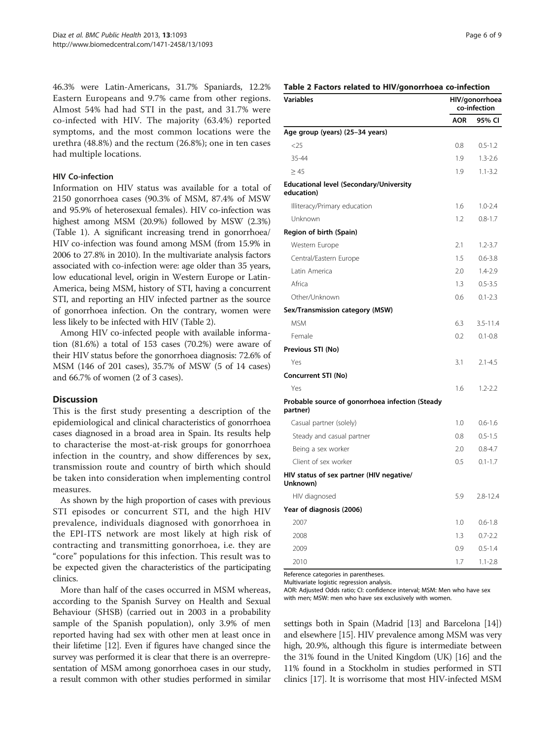46.3% were Latin-Americans, 31.7% Spaniards, 12.2% Eastern Europeans and 9.7% came from other regions. Almost 54% had had STI in the past, and 31.7% were co-infected with HIV. The majority (63.4%) reported symptoms, and the most common locations were the urethra (48.8%) and the rectum (26.8%); one in ten cases had multiple locations.

#### HIV Co-infection

Information on HIV status was available for a total of 2150 gonorrhoea cases (90.3% of MSM, 87.4% of MSW and 95.9% of heterosexual females). HIV co-infection was highest among MSM (20.9%) followed by MSW (2.3%) (Table [1\)](#page-3-0). A significant increasing trend in gonorrhoea/ HIV co-infection was found among MSM (from 15.9% in 2006 to 27.8% in 2010). In the multivariate analysis factors associated with co-infection were: age older than 35 years, low educational level, origin in Western Europe or Latin-America, being MSM, history of STI, having a concurrent STI, and reporting an HIV infected partner as the source of gonorrhoea infection. On the contrary, women were less likely to be infected with HIV (Table 2).

Among HIV co-infected people with available information (81.6%) a total of 153 cases (70.2%) were aware of their HIV status before the gonorrhoea diagnosis: 72.6% of MSM (146 of 201 cases), 35.7% of MSW (5 of 14 cases) and 66.7% of women (2 of 3 cases).

# **Discussion**

This is the first study presenting a description of the epidemiological and clinical characteristics of gonorrhoea cases diagnosed in a broad area in Spain. Its results help to characterise the most-at-risk groups for gonorrhoea infection in the country, and show differences by sex, transmission route and country of birth which should be taken into consideration when implementing control measures.

As shown by the high proportion of cases with previous STI episodes or concurrent STI, and the high HIV prevalence, individuals diagnosed with gonorrhoea in the EPI-ITS network are most likely at high risk of contracting and transmitting gonorrhoea, i.e. they are "core" populations for this infection. This result was to be expected given the characteristics of the participating clinics.

More than half of the cases occurred in MSM whereas, according to the Spanish Survey on Health and Sexual Behaviour (SHSB) (carried out in 2003 in a probability sample of the Spanish population), only 3.9% of men reported having had sex with other men at least once in their lifetime [\[12](#page-7-0)]. Even if figures have changed since the survey was performed it is clear that there is an overrepresentation of MSM among gonorrhoea cases in our study, a result common with other studies performed in similar

# Table 2 Factors related to HIV/gonorrhoea co-infection

| <b>Variables</b>                                             |            | HIV/gonorrhoea<br>co-infection |  |  |
|--------------------------------------------------------------|------------|--------------------------------|--|--|
|                                                              | <b>AOR</b> | 95% CI                         |  |  |
| Age group (years) (25-34 years)                              |            |                                |  |  |
| $<$ 25                                                       | 0.8        | $0.5 - 1.2$                    |  |  |
| 35-44                                                        | 1.9        | $1.3 - 2.6$                    |  |  |
| $\geq 45$                                                    | 1.9        | $1.1 - 3.2$                    |  |  |
| <b>Educational level (Secondary/University</b><br>education) |            |                                |  |  |
| Illiteracy/Primary education                                 | 1.6        | $1.0 - 2.4$                    |  |  |
| Unknown                                                      | 1.2        | $0.8 - 1.7$                    |  |  |
| Region of birth (Spain)                                      |            |                                |  |  |
| Western Europe                                               | 2.1        | $1.2 - 3.7$                    |  |  |
| Central/Eastern Europe                                       | 1.5        | $0.6 - 3.8$                    |  |  |
| Latin America                                                | 2.0        | $1.4 - 2.9$                    |  |  |
| Africa                                                       | 1.3        | $0.5 - 3.5$                    |  |  |
| Other/Unknown                                                | 0.6        | $0.1 - 2.3$                    |  |  |
| Sex/Transmission category (MSW)                              |            |                                |  |  |
| <b>MSM</b>                                                   | 6.3        | $3.5 - 11.4$                   |  |  |
| Female                                                       | 0.2        | $0.1 - 0.8$                    |  |  |
| Previous STI (No)                                            |            |                                |  |  |
| Yes                                                          | 3.1        | $2.1 - 4.5$                    |  |  |
| Concurrent STI (No)                                          |            |                                |  |  |
| Yes                                                          | 1.6        | $1.2 - 2.2$                    |  |  |
| Probable source of gonorrhoea infection (Steady<br>partner)  |            |                                |  |  |
| Casual partner (solely)                                      | 1.0        | $0.6 - 1.6$                    |  |  |
| Steady and casual partner                                    | 0.8        | $0.5 - 1.5$                    |  |  |
| Being a sex worker                                           | 2.0        | $0.8 - 4.7$                    |  |  |
| Client of sex worker                                         | 0.5        | $0.1 - 1.7$                    |  |  |
| HIV status of sex partner (HIV negative/<br>Unknown)         |            |                                |  |  |
| HIV diagnosed                                                | 5.9        | $2.8 - 12.4$                   |  |  |
| Year of diagnosis (2006)                                     |            |                                |  |  |
| 2007                                                         | 1.0        | $0.6 - 1.8$                    |  |  |
| 2008                                                         | 1.3        | $0.7 - 2.2$                    |  |  |
| 2009                                                         | 0.9        | $0.5 - 1.4$                    |  |  |
| 2010                                                         | 1.7        | $1.1 - 2.8$                    |  |  |

Reference categories in parentheses.

Multivariate logistic regression analysis.

AOR: Adjusted Odds ratio; CI: confidence interval; MSM: Men who have sex with men; MSW: men who have sex exclusively with women.

settings both in Spain (Madrid [\[13\]](#page-7-0) and Barcelona [[14](#page-7-0)]) and elsewhere [[15](#page-7-0)]. HIV prevalence among MSM was very high, 20.9%, although this figure is intermediate between the 31% found in the United Kingdom (UK) [[16](#page-7-0)] and the 11% found in a Stockholm in studies performed in STI clinics [\[17\]](#page-7-0). It is worrisome that most HIV-infected MSM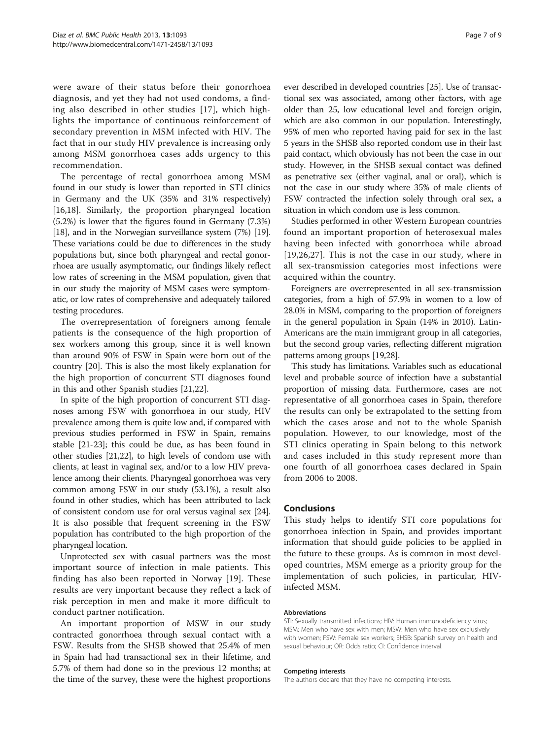were aware of their status before their gonorrhoea diagnosis, and yet they had not used condoms, a finding also described in other studies [[17](#page-7-0)], which highlights the importance of continuous reinforcement of secondary prevention in MSM infected with HIV. The fact that in our study HIV prevalence is increasing only among MSM gonorrhoea cases adds urgency to this recommendation.

The percentage of rectal gonorrhoea among MSM found in our study is lower than reported in STI clinics in Germany and the UK (35% and 31% respectively) [[16,18\]](#page-7-0). Similarly, the proportion pharyngeal location (5.2%) is lower that the figures found in Germany (7.3%) [[18](#page-7-0)], and in the Norwegian surveillance system (7%) [[19](#page-7-0)]. These variations could be due to differences in the study populations but, since both pharyngeal and rectal gonorrhoea are usually asymptomatic, our findings likely reflect low rates of screening in the MSM population, given that in our study the majority of MSM cases were symptomatic, or low rates of comprehensive and adequately tailored testing procedures.

The overrepresentation of foreigners among female patients is the consequence of the high proportion of sex workers among this group, since it is well known than around 90% of FSW in Spain were born out of the country [[20\]](#page-7-0). This is also the most likely explanation for the high proportion of concurrent STI diagnoses found in this and other Spanish studies [[21,22\]](#page-8-0).

In spite of the high proportion of concurrent STI diagnoses among FSW with gonorrhoea in our study, HIV prevalence among them is quite low and, if compared with previous studies performed in FSW in Spain, remains stable [\[21-23\]](#page-8-0); this could be due, as has been found in other studies [[21,22\]](#page-8-0), to high levels of condom use with clients, at least in vaginal sex, and/or to a low HIV prevalence among their clients. Pharyngeal gonorrhoea was very common among FSW in our study (53.1%), a result also found in other studies, which has been attributed to lack of consistent condom use for oral versus vaginal sex [[24](#page-8-0)]. It is also possible that frequent screening in the FSW population has contributed to the high proportion of the pharyngeal location.

Unprotected sex with casual partners was the most important source of infection in male patients. This finding has also been reported in Norway [[19\]](#page-7-0). These results are very important because they reflect a lack of risk perception in men and make it more difficult to conduct partner notification.

An important proportion of MSW in our study contracted gonorrhoea through sexual contact with a FSW. Results from the SHSB showed that 25.4% of men in Spain had had transactional sex in their lifetime, and 5.7% of them had done so in the previous 12 months; at the time of the survey, these were the highest proportions ever described in developed countries [\[25\]](#page-8-0). Use of transactional sex was associated, among other factors, with age older than 25, low educational level and foreign origin, which are also common in our population. Interestingly, 95% of men who reported having paid for sex in the last 5 years in the SHSB also reported condom use in their last paid contact, which obviously has not been the case in our study. However, in the SHSB sexual contact was defined as penetrative sex (either vaginal, anal or oral), which is not the case in our study where 35% of male clients of FSW contracted the infection solely through oral sex, a situation in which condom use is less common.

Studies performed in other Western European countries found an important proportion of heterosexual males having been infected with gonorrhoea while abroad [[19](#page-7-0),[26,27](#page-8-0)]. This is not the case in our study, where in all sex-transmission categories most infections were acquired within the country.

Foreigners are overrepresented in all sex-transmission categories, from a high of 57.9% in women to a low of 28.0% in MSM, comparing to the proportion of foreigners in the general population in Spain (14% in 2010). Latin-Americans are the main immigrant group in all categories, but the second group varies, reflecting different migration patterns among groups [[19](#page-7-0)[,28\]](#page-8-0).

This study has limitations. Variables such as educational level and probable source of infection have a substantial proportion of missing data. Furthermore, cases are not representative of all gonorrhoea cases in Spain, therefore the results can only be extrapolated to the setting from which the cases arose and not to the whole Spanish population. However, to our knowledge, most of the STI clinics operating in Spain belong to this network and cases included in this study represent more than one fourth of all gonorrhoea cases declared in Spain from 2006 to 2008.

# Conclusions

This study helps to identify STI core populations for gonorrhoea infection in Spain, and provides important information that should guide policies to be applied in the future to these groups. As is common in most developed countries, MSM emerge as a priority group for the implementation of such policies, in particular, HIVinfected MSM.

#### Abbreviations

STI: Sexually transmitted infections; HIV: Human immunodeficiency virus; MSM: Men who have sex with men; MSW: Men who have sex exclusively with women; FSW: Female sex workers; SHSB: Spanish survey on health and sexual behaviour; OR: Odds ratio; CI: Confidence interval.

#### Competing interests

The authors declare that they have no competing interests.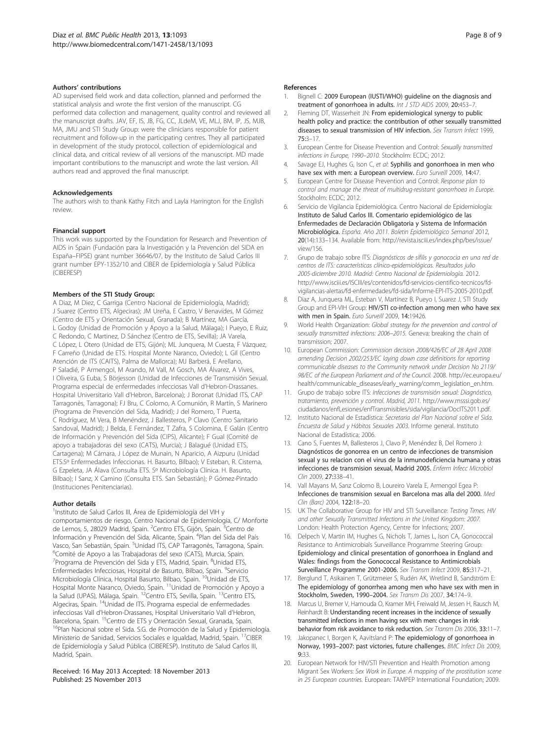#### <span id="page-7-0"></span>Authors' contributions

AD supervised field work and data collection, planned and performed the statistical analysis and wrote the first version of the manuscript. CG performed data collection and management, quality control and reviewed all the manuscript drafts. JAV, EF, IS, JB, FG, CC, JLdeM, VE, MLJ, BM, IP, JS, MJB, MA, JMU and STI Study Group: were the clinicians responsible for patient recruitment and follow-up in the participating centres. They all participated in development of the study protocol, collection of epidemiological and clinical data, and critical review of all versions of the manuscript. MD made important contributions to the manuscript and wrote the last version. All authors read and approved the final manuscript.

#### Acknowledgements

The authors wish to thank Kathy Fitch and Layla Harrington for the English review.

#### Financial support

This work was supported by the Foundation for Research and Prevention of AIDS in Spain (Fundación para la Investigación y la Prevención del SIDA en España–FIPSE) grant number 36646/07, by the Instituto de Salud Carlos III grant number EPY-1352/10 and CIBER de Epidemiología y Salud Pública (CIBERESP)

#### Members of the STI Study Group:

A Diaz, M Diez, C Garriga (Centro Nacional de Epidemiología, Madrid); J Suarez (Centro ETS, Algeciras); JM Ureña, E Castro, V Benavides, M Gómez (Centro de ETS y Orientación Sexual, Granada); B Martínez, MA García, L Godoy (Unidad de Promoción y Apoyo a la Salud, Málaga); I Pueyo, E Ruiz, C Redondo, C Martinez, D Sánchez (Centro de ETS, Sevilla); JA Varela, C López, L Otero (Unidad de ETS, Gijón); ML Junquera, M Cuesta, F Vázquez, F Carreño (Unidad de ETS. Hospital Monte Naranco, Oviedo); L Gil (Centro Atención de ITS (CAITS), Palma de Mallorca); MJ Barberá, E Arellano, P Saladié, P Armengol, M Arando, M Vall, M Gosch, MA Álvarez, A Vives, I Oliveira, G Euba, S Börjesson (Unidad de Infecciones de Transmisión Sexual. Programa especial de enfermedades infecciosas Vall d'Hebron-Drassanes. Hospital Universitario Vall d'Hebron, Barcelona); J Boronat (Unidad ITS, CAP Tarragonès, Tarragona); FJ Bru, C Colomo, A Comunión, R Martín, S Marinero (Programa de Prevención del Sida, Madrid); J del Romero, T Puerta, C Rodríguez, M Vera, B Menéndez, J Ballesteros, P Clavo (Centro Sanitario Sandoval, Madrid); J Belda, E Fernández, T Zafra, S Colomina, E Galán (Centro de Información y Prevención del Sida (CIPS), Alicante); F Gual (Comité de apoyo a trabajadoras del sexo (CATS), Murcia); J Balagué (Unidad ETS, Cartagena); M Cámara, J López de Munain, N Aparicio, A Aizpuru (Unidad ETS.Sº Enfermedades Infeccionas. H. Basurto, Bilbao); V Esteban, R. Cisterna, G Ezpeleta, JA Álava (Consulta ETS. Sº Microbiología Clínica. H. Basurto, Bilbao); I Sanz, X Camino (Consulta ETS. San Sebastián); P Gómez-Pintado (Instituciones Penitenciarias).

#### Author details

<sup>1</sup>Instituto de Salud Carlos III, Área de Epidemiología del VIH y comportamientos de riesgo, Centro Nacional de Epidemiologia, C/ Monforte de Lemos, 5, 28029 Madrid, Spain. <sup>2</sup>Centro ETS, Gijón, Spain. <sup>3</sup>Centro de Información y Prevención del Sida, Alicante, Spain. <sup>4</sup>Plan del Sida del País Vasco, San Sebastián, Spain. <sup>5</sup>Unidad ITS, CAP Tarragonès, Tarragona, Spain.<br><sup>6</sup>Comité de Apovo a las Trabajadoras del sexo (CATS). Murcia, Spain. Comité de Apoyo a las Trabajadoras del sexo (CATS), Murcia, Spain. <sup>7</sup> Programa de Prevención del Sida y ETS, Madrid, Spain. <sup>8</sup>Unidad ETS, Enfermedades Infecciosas, Hospital de Basurto, Bilbao, Spain. <sup>9</sup>Servicio Microbiología Clínica, Hospital Basurto, Bilbao, Spain. 10Unidad de ETS, Hospital Monte Naranco, Oviedo, Spain. <sup>11</sup>Unidad de Promoción y Apoyo a la Salud (UPAS), Málaga, Spain. <sup>12</sup>Centro ETS, Sevilla, Spain. <sup>13</sup>Centro ETS, Algeciras, Spain. 14Unidad de ITS. Programa especial de enfermedades infecciosas Vall d'Hebron-Drassanes, Hospital Universitario Vall d'Hebron, Barcelona, Spain. <sup>15</sup>Centro de ETS y Orientación Sexual, Granada, Spain.<br><sup>16</sup>Plan Nacional sobre el Sida. S.G. de Promoción de la Salud y Epidemiología. Ministerio de Sanidad, Servicios Sociales e Igualdad, Madrid, Spain. 17CIBER de Epidemiología y Salud Pública (CIBERESP). Instituto de Salud Carlos III, Madrid, Spain.

#### Received: 16 May 2013 Accepted: 18 November 2013 Published: 25 November 2013

#### References

- Bignell C: 2009 European (IUSTI/WHO) guideline on the diagnosis and treatment of gonorrhoea in adults. Int J STD AIDS 2009, 20:453–7.
- 2. Fleming DT, Wasserheit JN: From epidemiological synergy to public health policy and practice: the contribution of other sexually transmitted diseases to sexual transmission of HIV infection. Sex Transm Infect 1999, 75:3–17.
- 3. European Centre for Disease Prevention and Control: Sexually transmitted infections in Europe, 1990–2010. Stockholm: ECDC; 2012.
- 4. Savage EJ, Hughes G, Ison C, et al: Syphilis and gonorrhoea in men who have sex with men: a European overview. Euro Surveill 2009, 14:47.
- European Centre for Disease Prevention and Control: Response plan to control and manage the threat of multidrug-resistant gonorrhoea in Europe. Stockholm: ECDC; 2012.
- 6. Servicio de Vigilancia Epidemiológica. Centro Nacional de Epidemiología: Instituto de Salud Carlos III. Comentario epidemiológico de las Enfermedades de Declaración Obligatoria y Sistema de Información Microbiológica. España. Año 2011. Boletin Epidemiológico Semanal 2012, 20(14):133–134. Available from: [http://revista.isciii.es/index.php/bes/issue/](http://revista.isciii.es/index.php/bes/issue/view/156) [view/156.](http://revista.isciii.es/index.php/bes/issue/view/156)
- 7. Grupo de trabajo sobre ITS: Diagnósticos de sífilis y gonococia en una red de centros de ITS: características clínico-epidemiológicas. Resultados julio 2005-diciembre 2010. Madrid: Centro Nacional de Epidemiología. 2012. [http://www.isciii.es/ISCIII/es/contenidos/fd-servicios-cientifico-tecnicos/fd](http://www.isciii.es/ISCIII/es/contenidos/fd-servicios-cientifico-tecnicos/fd-vigilancias-alertas/fd-enfermedades/fd-sida/Informe-EPI-ITS-2005-2010.pdf)[vigilancias-alertas/fd-enfermedades/fd-sida/Informe-EPI-ITS-2005-2010.pdf](http://www.isciii.es/ISCIII/es/contenidos/fd-servicios-cientifico-tecnicos/fd-vigilancias-alertas/fd-enfermedades/fd-sida/Informe-EPI-ITS-2005-2010.pdf).
- 8. Diaz A, Junquera ML, Esteban V, Martínez B, Pueyo I, Suarez J, STI Study Group and EPI-VIH Group: HIV/STI co-infection among men who have sex with men in Spain. Euro Surveill 2009, 14:19426.
- World Health Organization: Global strategy for the prevention and control of sexually transmitted infections: 2006–2015. Geneva: breaking the chain of transmission; 2007.
- 10. European Commission: Commission decision 2008/426/EC of 28 April 2008 amending Decision 2002/253/EC laying down case definitions for reporting communicable diseases to the Community network under Decision No 2119/ 98/EC of the European Parliament and of the Council. 2008. [http://ec.europa.eu/](http://ec.europa.eu/health/communicable_diseases/early_warning/comm_legislation_en.htm) [health/communicable\\_diseases/early\\_warning/comm\\_legislation\\_en.htm.](http://ec.europa.eu/health/communicable_diseases/early_warning/comm_legislation_en.htm)
- 11. Grupo de trabajo sobre ITS: Infecciones de transmisión sexual: Diagnóstico, tratamiento, prevención y control. Madrid, 2011. [http://www.msssi.gob.es/](http://www.msssi.gob.es/ciudadanos/enfLesiones/enfTransmisibles/sida/vigilancia/DocITS2011.pdf) [ciudadanos/enfLesiones/enfTransmisibles/sida/vigilancia/DocITS2011.pdf.](http://www.msssi.gob.es/ciudadanos/enfLesiones/enfTransmisibles/sida/vigilancia/DocITS2011.pdf)
- 12. Instituto Nacional de Estadística: Secretaria del Plan Nacional sobre el Sida. Encuesta de Salud y Hábitos Sexuales 2003. Informe general. Instituto Nacional de Estadística; 2006.
- 13. Cano S, Fuentes M, Ballesteros J, Clavo P, Menéndez B, Del Romero J: Diagnósticos de gonorrea en un centro de infecciones de transmision sexual y su relacion con el virus de la inmunodeficiencia humana y otras infecciones de transmision sexual, Madrid 2005. Enferm Infecc Microbiol Clin 2009, 27:338–41.
- 14. Vall Mayans M, Sanz Colomo B, Loureiro Varela E, Armengol Egea P: Infecciones de transmision sexual en Barcelona mas alla del 2000. Med Clin (Barc) 2004, 122:18-20.
- 15. UK The Collaborative Group for HIV and STI Surveillance: Testing Times. HIV and other Sexually Transmitted Infections in the United Kingdom: 2007. London: Health Protection Agency, Centre for Infections; 2007.
- 16. Delpech V, Martin IM, Hughes G, Nichols T, James L, Ison CA, Gonococcal Resistance to Antimicrobials Surveillance Programme Steering Group: Epidemiology and clinical presentation of gonorrhoea in England and Wales: findings from the Gonococcal Resistance to Antimicrobials Surveillance Programme 2001-2006. Sex Transm Infect 2009, 85:317–21.
- 17. Berglund T, Asikainen T, Grützmeier S, Rudén AK, Wretlind B, Sandström E: The epidemiology of gonorrhea among men who have sex with men in Stockholm, Sweden, 1990–2004. Sex Transm Dis 2007, 34:174–9.
- 18. Marcus U, Bremer V, Hamouda O, Kramer MH, Freiwald M, Jessen H, Rausch M, Reinhardt B: Understanding recent increases in the incidence of sexually transmitted infections in men having sex with men: changes in risk behavior from risk avoidance to risk reduction. Sex Transm Dis 2006, 33:11-7.
- 19. Jakopanec I, Borgen K, Aavitsland P: The epidemiology of gonorrhoea in Norway, 1993–2007: past victories, future challenges. BMC Infect Dis 2009, 9:33.
- 20. European Network for HIV/STI Prevention and Health Promotion among Migrant Sex Workers: Sex Work in Europe. A mapping of the prostitution scene in 25 European countries. European: TAMPEP International Foundation; 2009.